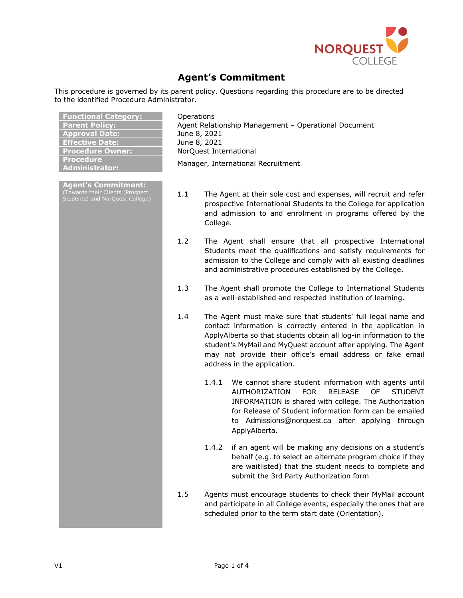

## **Agent's Commitment**

This procedure is governed by its parent policy. Questions regarding this procedure are to be directed to the identified Procedure Administrator.

| <b>Functional Category:</b><br><b>Parent Policy:</b><br><b>Approval Date:</b><br><b>Effective Date:</b><br><b>Procedure Owner:</b><br><b>Procedure</b> | Operations<br>Agent Relationship Management - Operational Document<br>June 8, 2021<br>June 8, 2021<br>NorQuest International |                                                                                                                                                                                                                                                                                                                                                                    |  |
|--------------------------------------------------------------------------------------------------------------------------------------------------------|------------------------------------------------------------------------------------------------------------------------------|--------------------------------------------------------------------------------------------------------------------------------------------------------------------------------------------------------------------------------------------------------------------------------------------------------------------------------------------------------------------|--|
| <b>Administrator:</b>                                                                                                                                  |                                                                                                                              | Manager, International Recruitment                                                                                                                                                                                                                                                                                                                                 |  |
| Agent's Commitment:<br>(Towards their Clients (Prospect<br>Students) and NorQuest College)                                                             | 1.1<br>College.                                                                                                              | The Agent at their sole cost and expenses, will recruit and refer<br>prospective International Students to the College for application<br>and admission to and enrolment in programs offered by the                                                                                                                                                                |  |
|                                                                                                                                                        | 1.2                                                                                                                          | The Agent shall ensure that all prospective International<br>Students meet the qualifications and satisfy requirements for<br>admission to the College and comply with all existing deadlines<br>and administrative procedures established by the College.                                                                                                         |  |
|                                                                                                                                                        | 1.3                                                                                                                          | The Agent shall promote the College to International Students<br>as a well-established and respected institution of learning.                                                                                                                                                                                                                                      |  |
|                                                                                                                                                        | 1.4                                                                                                                          | The Agent must make sure that students' full legal name and<br>contact information is correctly entered in the application in<br>ApplyAlberta so that students obtain all log-in information to the<br>student's MyMail and MyQuest account after applying. The Agent<br>may not provide their office's email address or fake email<br>address in the application. |  |
|                                                                                                                                                        | 1.4.1                                                                                                                        | We cannot share student information with agents until<br><b>FOR</b><br><b>RELEASE</b><br><b>OF</b><br><b>AUTHORIZATION</b><br><b>STUDENT</b><br>INFORMATION is shared with college. The Authorization<br>for Release of Student information form can be emailed<br>to Admissions@norquest.ca after applying through<br>ApplyAlberta.                               |  |
|                                                                                                                                                        |                                                                                                                              | 1.4.2 if an agent will be making any decisions on a student's<br>behalf (e.g. to select an alternate program choice if they<br>are waitlisted) that the student needs to complete and<br>submit the 3rd Party Authorization form                                                                                                                                   |  |
|                                                                                                                                                        | 1.5                                                                                                                          | Agents must encourage students to check their MyMail account<br>and participate in all College events, especially the ones that are<br>scheduled prior to the term start date (Orientation).                                                                                                                                                                       |  |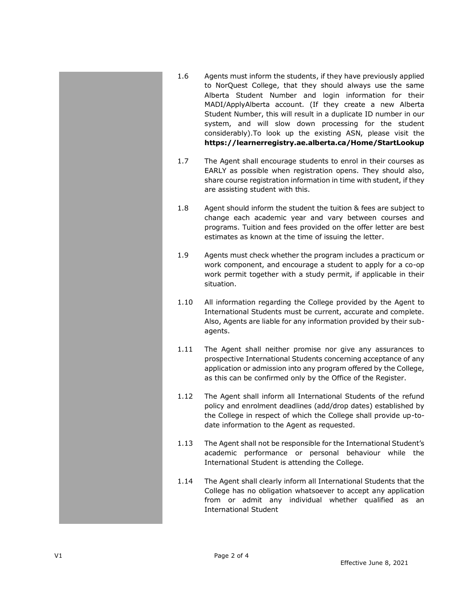- 1.6 Agents must inform the students, if they have previously applied to NorQuest College, that they should always use the same Alberta Student Number and login information for their MADI/ApplyAlberta account. (If they create a new Alberta Student Number, this will result in a duplicate ID number in our system, and will slow down processing for the student considerably).To look up the existing ASN, please visit the **<https://learnerregistry.ae.alberta.ca/Home/StartLookup>**
- 1.7 The Agent shall encourage students to enrol in their courses as EARLY as possible when registration opens. They should also, share course registration information in time with student, if they are assisting student with this.
- 1.8 Agent should inform the student the tuition & fees are subject to change each academic year and vary between courses and programs. Tuition and fees provided on the offer letter are best estimates as known at the time of issuing the letter.
- 1.9 Agents must check whether the program includes a practicum or work component, and encourage a student to apply for a co-op work permit together with a study permit, if applicable in their situation.
- 1.10 All information regarding the College provided by the Agent to International Students must be current, accurate and complete. Also, Agents are liable for any information provided by their subagents.
- 1.11 The Agent shall neither promise nor give any assurances to prospective International Students concerning acceptance of any application or admission into any program offered by the College, as this can be confirmed only by the Office of the Register.
- 1.12 The Agent shall inform all International Students of the refund policy and enrolment deadlines (add/drop dates) established by the College in respect of which the College shall provide up-todate information to the Agent as requested.
- 1.13 The Agent shall not be responsible for the International Student's academic performance or personal behaviour while the International Student is attending the College.
- 1.14 The Agent shall clearly inform all International Students that the College has no obligation whatsoever to accept any application from or admit any individual whether qualified as an International Student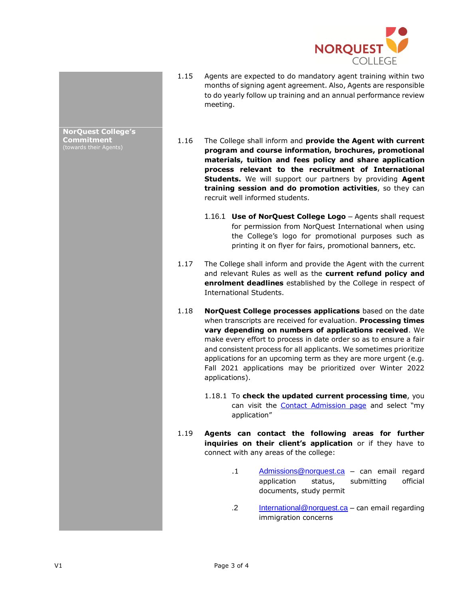

- 1.15 Agents are expected to do mandatory agent training within two months of signing agent agreement. Also, Agents are responsible to do yearly follow up training and an annual performance review meeting.
- 1.16 The College shall inform and **provide the Agent with current program and course information, brochures, promotional materials, tuition and fees policy and share application process relevant to the recruitment of International Students.** We will support our partners by providing **Agent training session and do promotion activities**, so they can recruit well informed students.
	- 1.16.1 **Use of NorQuest College Logo** Agents shall request for permission from NorQuest International when using the College's logo for promotional purposes such as printing it on flyer for fairs, promotional banners, etc.
- 1.17 The College shall inform and provide the Agent with the current and relevant Rules as well as the **current refund policy and enrolment deadlines** established by the College in respect of International Students.
- 1.18 **NorQuest College processes applications** based on the date when transcripts are received for evaluation. **Processing times vary depending on numbers of applications received**. We make every effort to process in date order so as to ensure a fair and consistent process for all applicants. We sometimes prioritize applications for an upcoming term as they are more urgent (e.g. Fall 2021 applications may be prioritized over Winter 2022 applications).
	- 1.18.1 To **check the updated current processing time**, you can visit the **Contact Admission page** and select "my application"
- 1.19 **Agents can contact the following areas for further inquiries on their client's application** or if they have to connect with any areas of the college:
	- .1 [Admissions@norquest.ca](mailto:Admissions@norquest.ca) can email regard application status, submitting official documents, study permit
	- .2 [International@norquest.ca](mailto:International@norquest.ca) can email regarding immigration concerns

**NorQuest College's Commitment**  (towards their Agents)